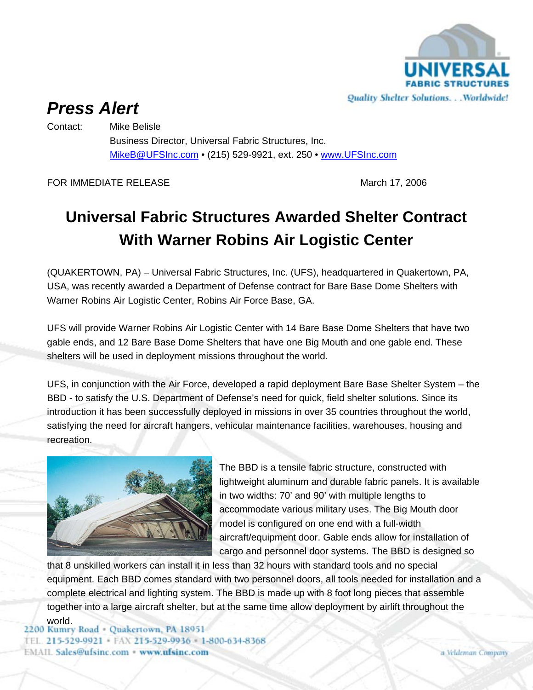

## *Press Alert*

Contact: Mike Belisle

Business Director, Universal Fabric Structures, Inc. MikeB@UFSInc.com • (215) 529-9921, ext. 250 • www.UFSInc.com

FOR IMMEDIATE RELEASE March 17, 2006

## **Universal Fabric Structures Awarded Shelter Contract With Warner Robins Air Logistic Center**

(QUAKERTOWN, PA) – Universal Fabric Structures, Inc. (UFS), headquartered in Quakertown, PA, USA, was recently awarded a Department of Defense contract for Bare Base Dome Shelters with Warner Robins Air Logistic Center, Robins Air Force Base, GA.

UFS will provide Warner Robins Air Logistic Center with 14 Bare Base Dome Shelters that have two gable ends, and 12 Bare Base Dome Shelters that have one Big Mouth and one gable end. These shelters will be used in deployment missions throughout the world.

UFS, in conjunction with the Air Force, developed a rapid deployment Bare Base Shelter System – the BBD - to satisfy the U.S. Department of Defense's need for quick, field shelter solutions. Since its introduction it has been successfully deployed in missions in over 35 countries throughout the world, satisfying the need for aircraft hangers, vehicular maintenance facilities, warehouses, housing and recreation.



The BBD is a tensile fabric structure, constructed with lightweight aluminum and durable fabric panels. It is available in two widths: 70' and 90' with multiple lengths to accommodate various military uses. The Big Mouth door model is configured on one end with a full-width aircraft/equipment door. Gable ends allow for installation of cargo and personnel door systems. The BBD is designed so

that 8 unskilled workers can install it in less than 32 hours with standard tools and no special equipment. Each BBD comes standard with two personnel doors, all tools needed for installation and a complete electrical and lighting system. The BBD is made up with 8 foot long pieces that assemble together into a large aircraft shelter, but at the same time allow deployment by airlift throughout the

world.<br>2200 Kumry Road - Quakertown, PA 18951 TEL. 215-529-9921 · FAX 215-529-9936 · 1-800-634-8368 **EMAIL Sales@ufsinc.com · www.ufsinc.com**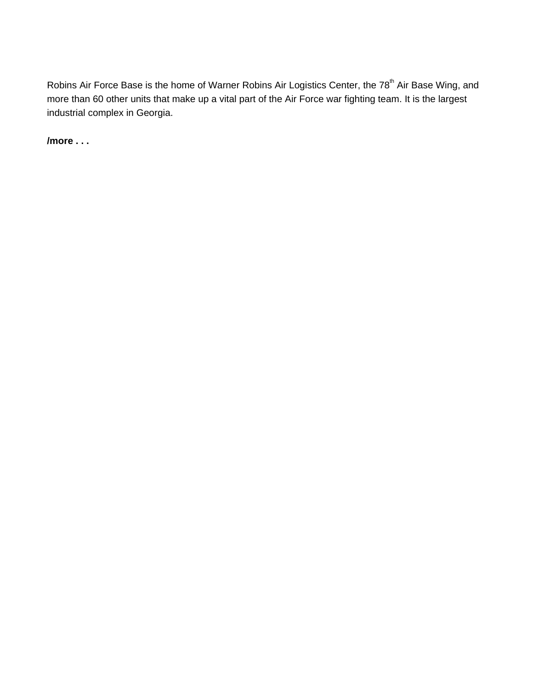Robins Air Force Base is the home of Warner Robins Air Logistics Center, the 78<sup>th</sup> Air Base Wing, and more than 60 other units that make up a vital part of the Air Force war fighting team. It is the largest industrial complex in Georgia.

**/more . . .**